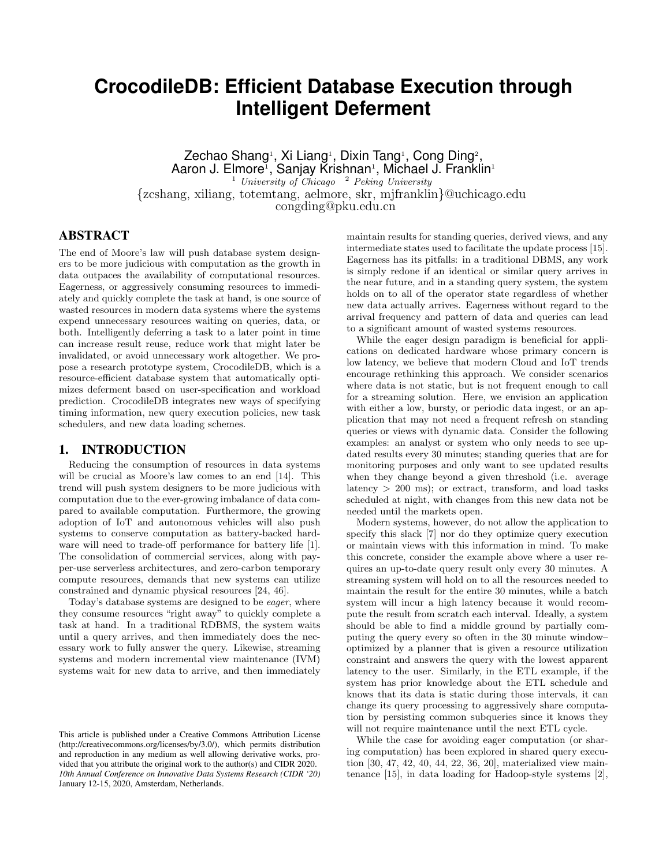# **CrocodileDB: Efficient Database Execution through Intelligent Deferment**

Zechao Shang<sup>1</sup>, Xi Liang<sup>1</sup>, Dixin Tang<sup>1</sup>, Cong Ding<sup>2</sup>, Aaron J. Elmore<sup>1</sup>, Sanjay Krishnan<sup>1</sup>, Michael J. Franklin<sup>1</sup> <sup>1</sup> *University of Chicago* <sup>2</sup> *Peking University* {zcshang, xiliang, totemtang, aelmore, skr, mjfranklin}@uchicago.edu congding@pku.edu.cn

# ABSTRACT

The end of Moore's law will push database system designers to be more judicious with computation as the growth in data outpaces the availability of computational resources. Eagerness, or aggressively consuming resources to immediately and quickly complete the task at hand, is one source of wasted resources in modern data systems where the systems expend unnecessary resources waiting on queries, data, or both. Intelligently deferring a task to a later point in time can increase result reuse, reduce work that might later be invalidated, or avoid unnecessary work altogether. We propose a research prototype system, CrocodileDB, which is a resource-efficient database system that automatically optimizes deferment based on user-specification and workload prediction. CrocodileDB integrates new ways of specifying timing information, new query execution policies, new task schedulers, and new data loading schemes.

## 1. INTRODUCTION

Reducing the consumption of resources in data systems will be crucial as Moore's law comes to an end [14]. This trend will push system designers to be more judicious with computation due to the ever-growing imbalance of data compared to available computation. Furthermore, the growing adoption of IoT and autonomous vehicles will also push systems to conserve computation as battery-backed hardware will need to trade-off performance for battery life [1]. The consolidation of commercial services, along with payper-use serverless architectures, and zero-carbon temporary compute resources, demands that new systems can utilize constrained and dynamic physical resources [24, 46].

Today's database systems are designed to be *eager*, where they consume resources "right away" to quickly complete a task at hand. In a traditional RDBMS, the system waits until a query arrives, and then immediately does the necessary work to fully answer the query. Likewise, streaming systems and modern incremental view maintenance (IVM) systems wait for new data to arrive, and then immediately

maintain results for standing queries, derived views, and any intermediate states used to facilitate the update process [15]. Eagerness has its pitfalls: in a traditional DBMS, any work is simply redone if an identical or similar query arrives in the near future, and in a standing query system, the system holds on to all of the operator state regardless of whether new data actually arrives. Eagerness without regard to the arrival frequency and pattern of data and queries can lead to a significant amount of wasted systems resources.

While the eager design paradigm is beneficial for applications on dedicated hardware whose primary concern is low latency, we believe that modern Cloud and IoT trends encourage rethinking this approach. We consider scenarios where data is not static, but is not frequent enough to call for a streaming solution. Here, we envision an application with either a low, bursty, or periodic data ingest, or an application that may not need a frequent refresh on standing queries or views with dynamic data. Consider the following examples: an analyst or system who only needs to see updated results every 30 minutes; standing queries that are for monitoring purposes and only want to see updated results when they change beyond a given threshold (i.e. average latency > 200 ms); or extract, transform, and load tasks scheduled at night, with changes from this new data not be needed until the markets open.

Modern systems, however, do not allow the application to specify this slack [7] nor do they optimize query execution or maintain views with this information in mind. To make this concrete, consider the example above where a user requires an up-to-date query result only every 30 minutes. A streaming system will hold on to all the resources needed to maintain the result for the entire 30 minutes, while a batch system will incur a high latency because it would recompute the result from scratch each interval. Ideally, a system should be able to find a middle ground by partially computing the query every so often in the 30 minute window– optimized by a planner that is given a resource utilization constraint and answers the query with the lowest apparent latency to the user. Similarly, in the ETL example, if the system has prior knowledge about the ETL schedule and knows that its data is static during those intervals, it can change its query processing to aggressively share computation by persisting common subqueries since it knows they will not require maintenance until the next ETL cycle.

While the case for avoiding eager computation (or sharing computation) has been explored in shared query execution [30, 47, 42, 40, 44, 22, 36, 20], materialized view maintenance [15], in data loading for Hadoop-style systems [2],

This article is published under a Creative Commons Attribution License (http://creativecommons.org/licenses/by/3.0/), which permits distribution and reproduction in any medium as well allowing derivative works, provided that you attribute the original work to the author(s) and CIDR 2020. *10th Annual Conference on Innovative Data Systems Research (CIDR '20)* January 12-15, 2020, Amsterdam, Netherlands.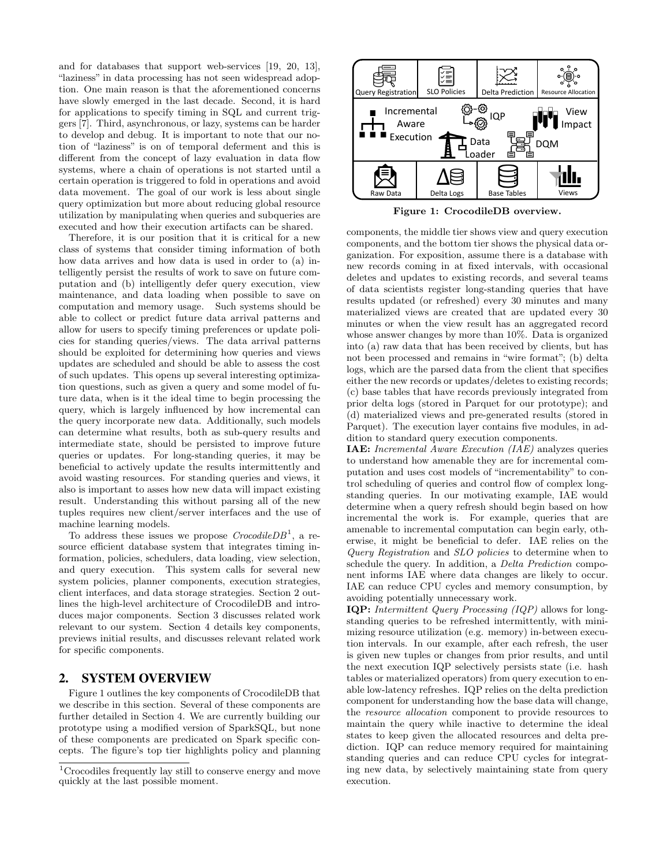and for databases that support web-services [19, 20, 13], "laziness" in data processing has not seen widespread adoption. One main reason is that the aforementioned concerns have slowly emerged in the last decade. Second, it is hard for applications to specify timing in SQL and current triggers [7]. Third, asynchronous, or lazy, systems can be harder to develop and debug. It is important to note that our notion of "laziness" is on of temporal deferment and this is different from the concept of lazy evaluation in data flow systems, where a chain of operations is not started until a certain operation is triggered to fold in operations and avoid data movement. The goal of our work is less about single query optimization but more about reducing global resource utilization by manipulating when queries and subqueries are executed and how their execution artifacts can be shared.

Therefore, it is our position that it is critical for a new class of systems that consider timing information of both how data arrives and how data is used in order to (a) intelligently persist the results of work to save on future computation and (b) intelligently defer query execution, view maintenance, and data loading when possible to save on computation and memory usage. Such systems should be able to collect or predict future data arrival patterns and allow for users to specify timing preferences or update policies for standing queries/views. The data arrival patterns should be exploited for determining how queries and views updates are scheduled and should be able to assess the cost of such updates. This opens up several interesting optimization questions, such as given a query and some model of future data, when is it the ideal time to begin processing the query, which is largely influenced by how incremental can the query incorporate new data. Additionally, such models can determine what results, both as sub-query results and intermediate state, should be persisted to improve future queries or updates. For long-standing queries, it may be beneficial to actively update the results intermittently and avoid wasting resources. For standing queries and views, it also is important to asses how new data will impact existing result. Understanding this without parsing all of the new tuples requires new client/server interfaces and the use of machine learning models.

To address these issues we propose *CrocodileDB*<sup>1</sup> , a resource efficient database system that integrates timing information, policies, schedulers, data loading, view selection, and query execution. This system calls for several new system policies, planner components, execution strategies, client interfaces, and data storage strategies. Section 2 outlines the high-level architecture of CrocodileDB and introduces major components. Section 3 discusses related work relevant to our system. Section 4 details key components, previews initial results, and discusses relevant related work for specific components.

#### 2. SYSTEM OVERVIEW

Figure 1 outlines the key components of CrocodileDB that we describe in this section. Several of these components are further detailed in Section 4. We are currently building our prototype using a modified version of SparkSQL, but none of these components are predicated on Spark specific concepts. The figure's top tier highlights policy and planning



Figure 1: CrocodileDB overview.

components, the middle tier shows view and query execution components, and the bottom tier shows the physical data organization. For exposition, assume there is a database with new records coming in at fixed intervals, with occasional deletes and updates to existing records, and several teams of data scientists register long-standing queries that have results updated (or refreshed) every 30 minutes and many materialized views are created that are updated every 30 minutes or when the view result has an aggregated record whose answer changes by more than 10%. Data is organized into (a) raw data that has been received by clients, but has not been processed and remains in "wire format"; (b) delta logs, which are the parsed data from the client that specifies either the new records or updates/deletes to existing records; (c) base tables that have records previously integrated from prior delta logs (stored in Parquet for our prototype); and (d) materialized views and pre-generated results (stored in Parquet). The execution layer contains five modules, in addition to standard query execution components.

IAE: *Incremental Aware Execution (IAE)* analyzes queries to understand how amenable they are for incremental computation and uses cost models of "incrementability" to control scheduling of queries and control flow of complex longstanding queries. In our motivating example, IAE would determine when a query refresh should begin based on how incremental the work is. For example, queries that are amenable to incremental computation can begin early, otherwise, it might be beneficial to defer. IAE relies on the *Query Registration* and *SLO policies* to determine when to schedule the query. In addition, a *Delta Prediction* component informs IAE where data changes are likely to occur. IAE can reduce CPU cycles and memory consumption, by avoiding potentially unnecessary work.

IQP: *Intermittent Query Processing (IQP)* allows for longstanding queries to be refreshed intermittently, with minimizing resource utilization (e.g. memory) in-between execution intervals. In our example, after each refresh, the user is given new tuples or changes from prior results, and until the next execution IQP selectively persists state (i.e. hash tables or materialized operators) from query execution to enable low-latency refreshes. IQP relies on the delta prediction component for understanding how the base data will change, the *resource allocation* component to provide resources to maintain the query while inactive to determine the ideal states to keep given the allocated resources and delta prediction. IQP can reduce memory required for maintaining standing queries and can reduce CPU cycles for integrating new data, by selectively maintaining state from query execution.

<sup>&</sup>lt;sup>1</sup>Crocodiles frequently lay still to conserve energy and move quickly at the last possible moment.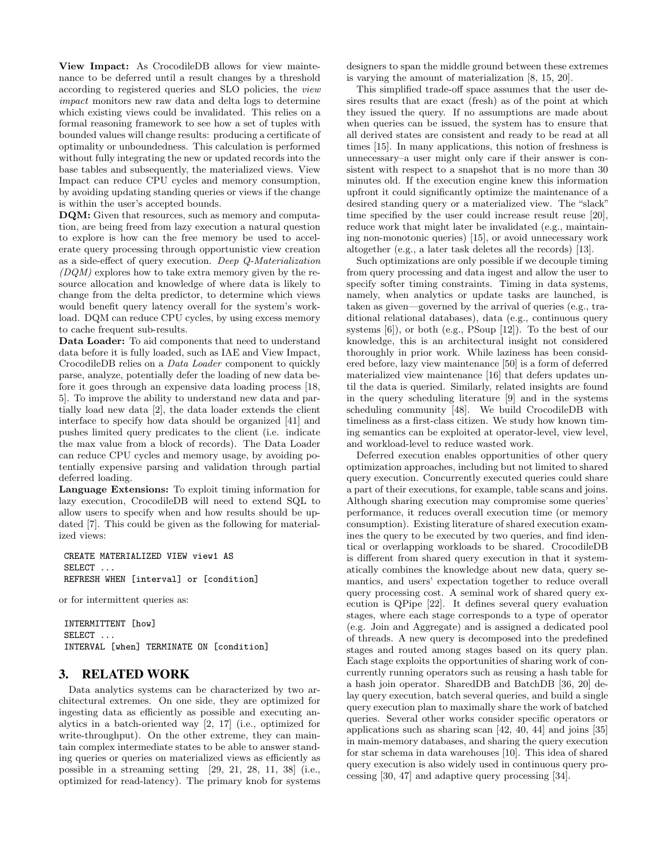View Impact: As CrocodileDB allows for view maintenance to be deferred until a result changes by a threshold according to registered queries and SLO policies, the *view impact* monitors new raw data and delta logs to determine which existing views could be invalidated. This relies on a formal reasoning framework to see how a set of tuples with bounded values will change results: producing a certificate of optimality or unboundedness. This calculation is performed without fully integrating the new or updated records into the base tables and subsequently, the materialized views. View Impact can reduce CPU cycles and memory consumption, by avoiding updating standing queries or views if the change is within the user's accepted bounds.

DQM: Given that resources, such as memory and computation, are being freed from lazy execution a natural question to explore is how can the free memory be used to accelerate query processing through opportunistic view creation as a side-effect of query execution. *Deep Q-Materialization (DQM)* explores how to take extra memory given by the resource allocation and knowledge of where data is likely to change from the delta predictor, to determine which views would benefit query latency overall for the system's workload. DQM can reduce CPU cycles, by using excess memory to cache frequent sub-results.

Data Loader: To aid components that need to understand data before it is fully loaded, such as IAE and View Impact, CrocodileDB relies on a *Data Loader* component to quickly parse, analyze, potentially defer the loading of new data before it goes through an expensive data loading process [18, 5]. To improve the ability to understand new data and partially load new data [2], the data loader extends the client interface to specify how data should be organized [41] and pushes limited query predicates to the client (i.e. indicate the max value from a block of records). The Data Loader can reduce CPU cycles and memory usage, by avoiding potentially expensive parsing and validation through partial deferred loading.

Language Extensions: To exploit timing information for lazy execution, CrocodileDB will need to extend SQL to allow users to specify when and how results should be updated [7]. This could be given as the following for materialized views:

```
CREATE MATERIALIZED VIEW view1 AS
SELECT ...
REFRESH WHEN [interval] or [condition]
```
or for intermittent queries as:

INTERMITTENT [how] SELECT ... INTERVAL [when] TERMINATE ON [condition]

#### 3. RELATED WORK

Data analytics systems can be characterized by two architectural extremes. On one side, they are optimized for ingesting data as efficiently as possible and executing analytics in a batch-oriented way [2, 17] (i.e., optimized for write-throughput). On the other extreme, they can maintain complex intermediate states to be able to answer standing queries or queries on materialized views as efficiently as possible in a streaming setting [29, 21, 28, 11, 38] (i.e., optimized for read-latency). The primary knob for systems designers to span the middle ground between these extremes is varying the amount of materialization [8, 15, 20].

This simplified trade-off space assumes that the user desires results that are exact (fresh) as of the point at which they issued the query. If no assumptions are made about when queries can be issued, the system has to ensure that all derived states are consistent and ready to be read at all times [15]. In many applications, this notion of freshness is unnecessary–a user might only care if their answer is consistent with respect to a snapshot that is no more than 30 minutes old. If the execution engine knew this information upfront it could significantly optimize the maintenance of a desired standing query or a materialized view. The "slack" time specified by the user could increase result reuse [20], reduce work that might later be invalidated (e.g., maintaining non-monotonic queries) [15], or avoid unnecessary work altogether (e.g., a later task deletes all the records) [13].

Such optimizations are only possible if we decouple timing from query processing and data ingest and allow the user to specify softer timing constraints. Timing in data systems, namely, when analytics or update tasks are launched, is taken as given—governed by the arrival of queries (e.g., traditional relational databases), data (e.g., continuous query systems [6]), or both (e.g., PSoup [12]). To the best of our knowledge, this is an architectural insight not considered thoroughly in prior work. While laziness has been considered before, lazy view maintenance [50] is a form of deferred materialized view maintenance [16] that defers updates until the data is queried. Similarly, related insights are found in the query scheduling literature [9] and in the systems scheduling community [48]. We build CrocodileDB with timeliness as a first-class citizen. We study how known timing semantics can be exploited at operator-level, view level, and workload-level to reduce wasted work.

Deferred execution enables opportunities of other query optimization approaches, including but not limited to shared query execution. Concurrently executed queries could share a part of their executions, for example, table scans and joins. Although sharing execution may compromise some queries' performance, it reduces overall execution time (or memory consumption). Existing literature of shared execution examines the query to be executed by two queries, and find identical or overlapping workloads to be shared. CrocodileDB is different from shared query execution in that it systematically combines the knowledge about new data, query semantics, and users' expectation together to reduce overall query processing cost. A seminal work of shared query execution is QPipe [22]. It defines several query evaluation stages, where each stage corresponds to a type of operator (e.g. Join and Aggregate) and is assigned a dedicated pool of threads. A new query is decomposed into the predefined stages and routed among stages based on its query plan. Each stage exploits the opportunities of sharing work of concurrently running operators such as reusing a hash table for a hash join operator. SharedDB and BatchDB [36, 20] delay query execution, batch several queries, and build a single query execution plan to maximally share the work of batched queries. Several other works consider specific operators or applications such as sharing scan [42, 40, 44] and joins [35] in main-memory databases, and sharing the query execution for star schema in data warehouses [10]. This idea of shared query execution is also widely used in continuous query processing [30, 47] and adaptive query processing [34].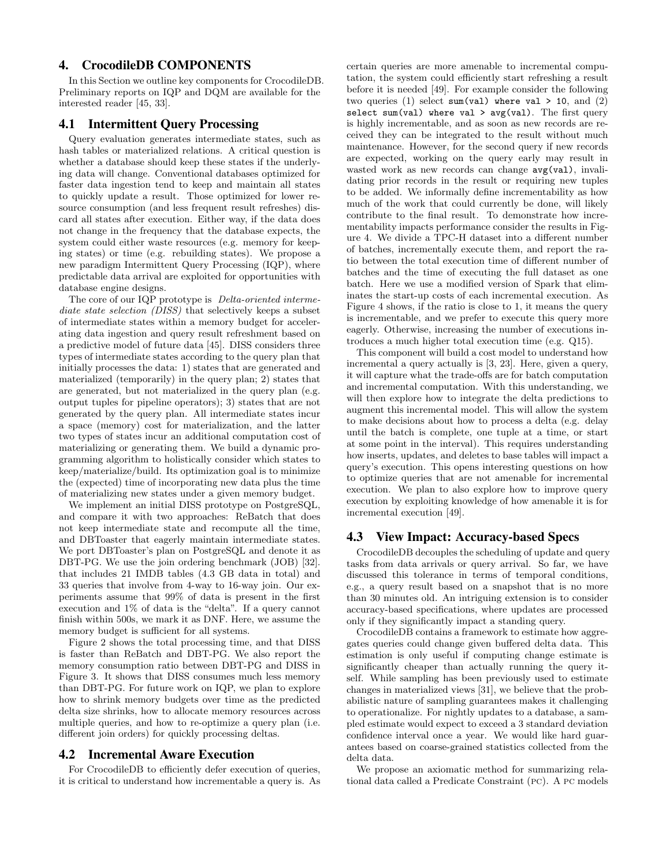# 4. CrocodileDB COMPONENTS

In this Section we outline key components for CrocodileDB. Preliminary reports on IQP and DQM are available for the interested reader [45, 33].

## 4.1 Intermittent Query Processing

Query evaluation generates intermediate states, such as hash tables or materialized relations. A critical question is whether a database should keep these states if the underlying data will change. Conventional databases optimized for faster data ingestion tend to keep and maintain all states to quickly update a result. Those optimized for lower resource consumption (and less frequent result refreshes) discard all states after execution. Either way, if the data does not change in the frequency that the database expects, the system could either waste resources (e.g. memory for keeping states) or time (e.g. rebuilding states). We propose a new paradigm Intermittent Query Processing (IQP), where predictable data arrival are exploited for opportunities with database engine designs.

The core of our IQP prototype is *Delta-oriented intermediate state selection (DISS)* that selectively keeps a subset of intermediate states within a memory budget for accelerating data ingestion and query result refreshment based on a predictive model of future data [45]. DISS considers three types of intermediate states according to the query plan that initially processes the data: 1) states that are generated and materialized (temporarily) in the query plan; 2) states that are generated, but not materialized in the query plan (e.g. output tuples for pipeline operators); 3) states that are not generated by the query plan. All intermediate states incur a space (memory) cost for materialization, and the latter two types of states incur an additional computation cost of materializing or generating them. We build a dynamic programming algorithm to holistically consider which states to keep/materialize/build. Its optimization goal is to minimize the (expected) time of incorporating new data plus the time of materializing new states under a given memory budget.

We implement an initial DISS prototype on PostgreSQL, and compare it with two approaches: ReBatch that does not keep intermediate state and recompute all the time, and DBToaster that eagerly maintain intermediate states. We port DBToaster's plan on PostgreSQL and denote it as DBT-PG. We use the join ordering benchmark (JOB) [32]. that includes 21 IMDB tables (4.3 GB data in total) and 33 queries that involve from 4-way to 16-way join. Our experiments assume that 99% of data is present in the first execution and 1% of data is the "delta". If a query cannot finish within 500s, we mark it as DNF. Here, we assume the memory budget is sufficient for all systems.

Figure 2 shows the total processing time, and that DISS is faster than ReBatch and DBT-PG. We also report the memory consumption ratio between DBT-PG and DISS in Figure 3. It shows that DISS consumes much less memory than DBT-PG. For future work on IQP, we plan to explore how to shrink memory budgets over time as the predicted delta size shrinks, how to allocate memory resources across multiple queries, and how to re-optimize a query plan (i.e. different join orders) for quickly processing deltas.

#### 4.2 Incremental Aware Execution

For CrocodileDB to efficiently defer execution of queries, it is critical to understand how incrementable a query is. As certain queries are more amenable to incremental computation, the system could efficiently start refreshing a result before it is needed [49]. For example consider the following two queries (1) select sum(val) where val  $> 10$ , and (2) select sum(val) where val  $>$  avg(val). The first query is highly incrementable, and as soon as new records are received they can be integrated to the result without much maintenance. However, for the second query if new records are expected, working on the query early may result in wasted work as new records can change  $avg(va1)$ , invalidating prior records in the result or requiring new tuples to be added. We informally define incrementability as how much of the work that could currently be done, will likely contribute to the final result. To demonstrate how incrementability impacts performance consider the results in Figure 4. We divide a TPC-H dataset into a different number of batches, incrementally execute them, and report the ratio between the total execution time of different number of batches and the time of executing the full dataset as one batch. Here we use a modified version of Spark that eliminates the start-up costs of each incremental execution. As Figure 4 shows, if the ratio is close to 1, it means the query is incrementable, and we prefer to execute this query more eagerly. Otherwise, increasing the number of executions introduces a much higher total execution time (e.g. Q15).

This component will build a cost model to understand how incremental a query actually is [3, 23]. Here, given a query, it will capture what the trade-offs are for batch computation and incremental computation. With this understanding, we will then explore how to integrate the delta predictions to augment this incremental model. This will allow the system to make decisions about how to process a delta (e.g. delay until the batch is complete, one tuple at a time, or start at some point in the interval). This requires understanding how inserts, updates, and deletes to base tables will impact a query's execution. This opens interesting questions on how to optimize queries that are not amenable for incremental execution. We plan to also explore how to improve query execution by exploiting knowledge of how amenable it is for incremental execution [49].

#### 4.3 View Impact: Accuracy-based Specs

CrocodileDB decouples the scheduling of update and query tasks from data arrivals or query arrival. So far, we have discussed this tolerance in terms of temporal conditions, e.g., a query result based on a snapshot that is no more than 30 minutes old. An intriguing extension is to consider accuracy-based specifications, where updates are processed only if they significantly impact a standing query.

CrocodileDB contains a framework to estimate how aggregates queries could change given buffered delta data. This estimation is only useful if computing change estimate is significantly cheaper than actually running the query itself. While sampling has been previously used to estimate changes in materialized views [31], we believe that the probabilistic nature of sampling guarantees makes it challenging to operationalize. For nightly updates to a database, a sampled estimate would expect to exceed a 3 standard deviation confidence interval once a year. We would like hard guarantees based on coarse-grained statistics collected from the delta data.

We propose an axiomatic method for summarizing relational data called a Predicate Constraint (pc). A pc models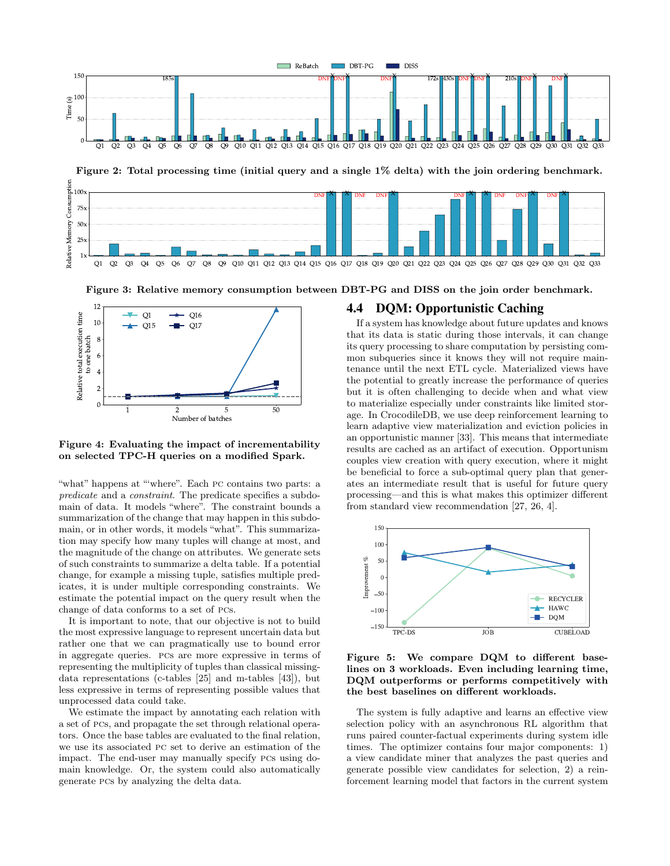



1x

Q1 Q2 Q3 Q4 Q5 Q6 Q7 Q8 Q9 Q10 Q11 Q12 Q13 Q14 Q15 Q16 Q17 Q18 Q19 Q20 Q21 Q22 Q23 Q24 Q25 Q26 Q27 Q28 Q29 Q30 Q31 Q32 Q33

Figure 3: Relative memory consumption between DBT-PG and DISS on the join order benchmark.



25x

Figure 4: Evaluating the impact of incrementability on selected TPC-H queries on a modified Spark.

"what" happens at "'where". Each pc contains two parts: a *predicate* and a *constraint*. The predicate specifies a subdomain of data. It models "where". The constraint bounds a summarization of the change that may happen in this subdomain, or in other words, it models "what". This summarization may specify how many tuples will change at most, and the magnitude of the change on attributes. We generate sets of such constraints to summarize a delta table. If a potential change, for example a missing tuple, satisfies multiple predicates, it is under multiple corresponding constraints. We estimate the potential impact on the query result when the change of data conforms to a set of pcs.

It is important to note, that our objective is not to build the most expressive language to represent uncertain data but rather one that we can pragmatically use to bound error in aggregate queries. pcs are more expressive in terms of representing the multiplicity of tuples than classical missingdata representations (c-tables [25] and m-tables [43]), but less expressive in terms of representing possible values that unprocessed data could take.

We estimate the impact by annotating each relation with a set of pcs, and propagate the set through relational operators. Once the base tables are evaluated to the final relation, we use its associated pc set to derive an estimation of the impact. The end-user may manually specify pcs using domain knowledge. Or, the system could also automatically generate pcs by analyzing the delta data.

## 4.4 DQM: Opportunistic Caching

If a system has knowledge about future updates and knows that its data is static during those intervals, it can change its query processing to share computation by persisting common subqueries since it knows they will not require maintenance until the next ETL cycle. Materialized views have the potential to greatly increase the performance of queries but it is often challenging to decide when and what view to materialize especially under constraints like limited storage. In CrocodileDB, we use deep reinforcement learning to learn adaptive view materialization and eviction policies in an opportunistic manner [33]. This means that intermediate results are cached as an artifact of execution. Opportunism couples view creation with query execution, where it might be beneficial to force a sub-optimal query plan that generates an intermediate result that is useful for future query processing—and this is what makes this optimizer different from standard view recommendation [27, 26, 4].



Figure 5: We compare DQM to different baselines on 3 workloads. Even including learning time, DQM outperforms or performs competitively with the best baselines on different workloads.

The system is fully adaptive and learns an effective view selection policy with an asynchronous RL algorithm that runs paired counter-factual experiments during system idle times. The optimizer contains four major components: 1) a view candidate miner that analyzes the past queries and generate possible view candidates for selection, 2) a reinforcement learning model that factors in the current system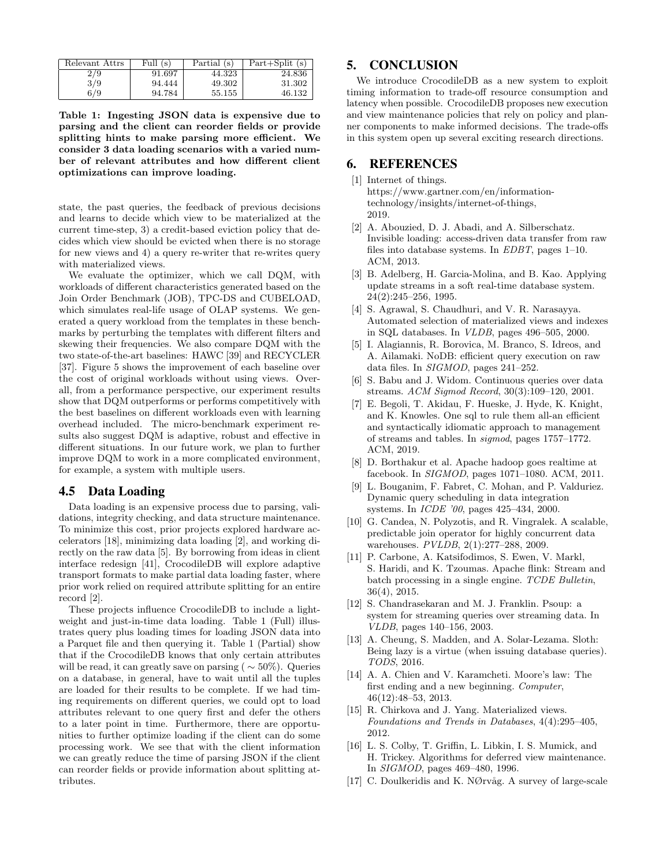| Relevant Attrs | Full $(s)$ | Partial (s) | $Part+Split(s)$ |
|----------------|------------|-------------|-----------------|
| 2/9            | 91.697     | 44.323      | 24.836          |
| 3/9            | 94.444     | 49.302      | 31.302          |
| 6/9            | 94.784     | 55.155      | 46.132          |

Table 1: Ingesting JSON data is expensive due to parsing and the client can reorder fields or provide splitting hints to make parsing more efficient. We consider 3 data loading scenarios with a varied number of relevant attributes and how different client optimizations can improve loading.

state, the past queries, the feedback of previous decisions and learns to decide which view to be materialized at the current time-step, 3) a credit-based eviction policy that decides which view should be evicted when there is no storage for new views and 4) a query re-writer that re-writes query with materialized views.

We evaluate the optimizer, which we call DQM, with workloads of different characteristics generated based on the Join Order Benchmark (JOB), TPC-DS and CUBELOAD, which simulates real-life usage of OLAP systems. We generated a query workload from the templates in these benchmarks by perturbing the templates with different filters and skewing their frequencies. We also compare DQM with the two state-of-the-art baselines: HAWC [39] and RECYCLER [37]. Figure 5 shows the improvement of each baseline over the cost of original workloads without using views. Overall, from a performance perspective, our experiment results show that DQM outperforms or performs competitively with the best baselines on different workloads even with learning overhead included. The micro-benchmark experiment results also suggest DQM is adaptive, robust and effective in different situations. In our future work, we plan to further improve DQM to work in a more complicated environment, for example, a system with multiple users.

#### 4.5 Data Loading

Data loading is an expensive process due to parsing, validations, integrity checking, and data structure maintenance. To minimize this cost, prior projects explored hardware accelerators [18], minimizing data loading [2], and working directly on the raw data [5]. By borrowing from ideas in client interface redesign [41], CrocodileDB will explore adaptive transport formats to make partial data loading faster, where prior work relied on required attribute splitting for an entire record [2].

These projects influence CrocodileDB to include a lightweight and just-in-time data loading. Table 1 (Full) illustrates query plus loading times for loading JSON data into a Parquet file and then querying it. Table 1 (Partial) show that if the CrocodileDB knows that only certain attributes will be read, it can greatly save on parsing ( $\sim$  50%). Queries on a database, in general, have to wait until all the tuples are loaded for their results to be complete. If we had timing requirements on different queries, we could opt to load attributes relevant to one query first and defer the others to a later point in time. Furthermore, there are opportunities to further optimize loading if the client can do some processing work. We see that with the client information we can greatly reduce the time of parsing JSON if the client can reorder fields or provide information about splitting attributes.

# 5. CONCLUSION

We introduce CrocodileDB as a new system to exploit timing information to trade-off resource consumption and latency when possible. CrocodileDB proposes new execution and view maintenance policies that rely on policy and planner components to make informed decisions. The trade-offs in this system open up several exciting research directions.

#### 6. REFERENCES

[1] Internet of things.

https://www.gartner.com/en/informationtechnology/insights/internet-of-things, 2019.

- [2] A. Abouzied, D. J. Abadi, and A. Silberschatz. Invisible loading: access-driven data transfer from raw files into database systems. In *EDBT*, pages 1–10. ACM, 2013.
- [3] B. Adelberg, H. Garcia-Molina, and B. Kao. Applying update streams in a soft real-time database system. 24(2):245–256, 1995.
- [4] S. Agrawal, S. Chaudhuri, and V. R. Narasayya. Automated selection of materialized views and indexes in SQL databases. In *VLDB*, pages 496–505, 2000.
- [5] I. Alagiannis, R. Borovica, M. Branco, S. Idreos, and A. Ailamaki. NoDB: efficient query execution on raw data files. In *SIGMOD*, pages 241–252.
- [6] S. Babu and J. Widom. Continuous queries over data streams. *ACM Sigmod Record*, 30(3):109–120, 2001.
- [7] E. Begoli, T. Akidau, F. Hueske, J. Hyde, K. Knight, and K. Knowles. One sql to rule them all-an efficient and syntactically idiomatic approach to management of streams and tables. In *sigmod*, pages 1757–1772. ACM, 2019.
- [8] D. Borthakur et al. Apache hadoop goes realtime at facebook. In *SIGMOD*, pages 1071–1080. ACM, 2011.
- [9] L. Bouganim, F. Fabret, C. Mohan, and P. Valduriez. Dynamic query scheduling in data integration systems. In *ICDE '00*, pages 425–434, 2000.
- [10] G. Candea, N. Polyzotis, and R. Vingralek. A scalable, predictable join operator for highly concurrent data warehouses. *PVLDB*, 2(1):277–288, 2009.
- [11] P. Carbone, A. Katsifodimos, S. Ewen, V. Markl, S. Haridi, and K. Tzoumas. Apache flink: Stream and batch processing in a single engine. *TCDE Bulletin*, 36(4), 2015.
- [12] S. Chandrasekaran and M. J. Franklin. Psoup: a system for streaming queries over streaming data. In *VLDB*, pages 140–156, 2003.
- [13] A. Cheung, S. Madden, and A. Solar-Lezama. Sloth: Being lazy is a virtue (when issuing database queries). *TODS*, 2016.
- [14] A. A. Chien and V. Karamcheti. Moore's law: The first ending and a new beginning. *Computer*, 46(12):48–53, 2013.
- [15] R. Chirkova and J. Yang. Materialized views. *Foundations and Trends in Databases*, 4(4):295–405, 2012.
- [16] L. S. Colby, T. Griffin, L. Libkin, I. S. Mumick, and H. Trickey. Algorithms for deferred view maintenance. In *SIGMOD*, pages 469–480, 1996.
- [17] C. Doulkeridis and K. N $\oslash$ rvåg. A survey of large-scale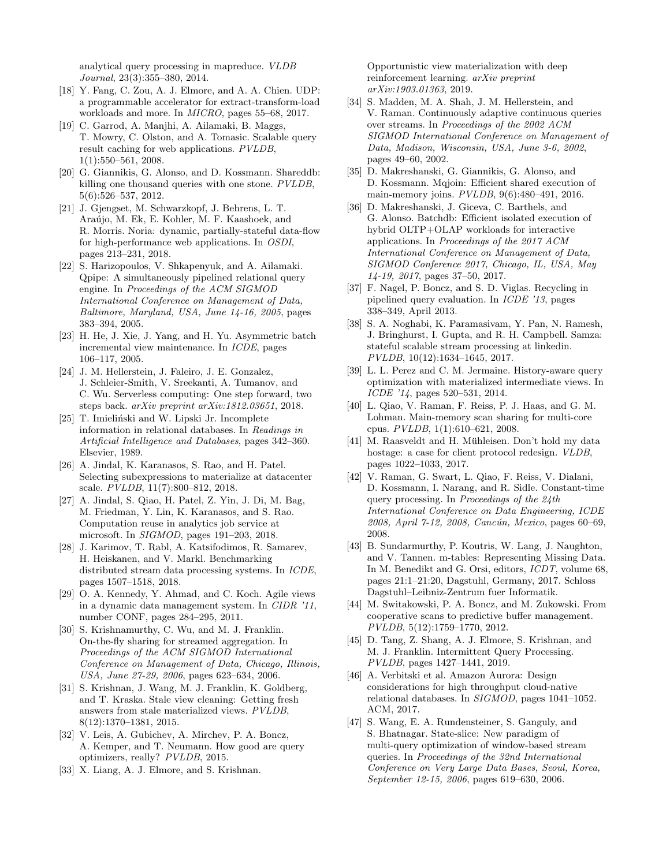analytical query processing in mapreduce. *VLDB Journal*, 23(3):355–380, 2014.

- [18] Y. Fang, C. Zou, A. J. Elmore, and A. A. Chien. UDP: a programmable accelerator for extract-transform-load workloads and more. In *MICRO*, pages 55–68, 2017.
- [19] C. Garrod, A. Manjhi, A. Ailamaki, B. Maggs, T. Mowry, C. Olston, and A. Tomasic. Scalable query result caching for web applications. *PVLDB*, 1(1):550–561, 2008.
- [20] G. Giannikis, G. Alonso, and D. Kossmann. Shareddb: killing one thousand queries with one stone. *PVLDB*, 5(6):526–537, 2012.
- [21] J. Gjengset, M. Schwarzkopf, J. Behrens, L. T. Araújo, M. Ek, E. Kohler, M. F. Kaashoek, and R. Morris. Noria: dynamic, partially-stateful data-flow for high-performance web applications. In *OSDI*, pages 213–231, 2018.
- [22] S. Harizopoulos, V. Shkapenyuk, and A. Ailamaki. Qpipe: A simultaneously pipelined relational query engine. In *Proceedings of the ACM SIGMOD International Conference on Management of Data, Baltimore, Maryland, USA, June 14-16, 2005*, pages 383–394, 2005.
- [23] H. He, J. Xie, J. Yang, and H. Yu. Asymmetric batch incremental view maintenance. In *ICDE*, pages 106–117, 2005.
- [24] J. M. Hellerstein, J. Faleiro, J. E. Gonzalez, J. Schleier-Smith, V. Sreekanti, A. Tumanov, and C. Wu. Serverless computing: One step forward, two steps back. *arXiv preprint arXiv:1812.03651*, 2018.
- [25] T. Imieliński and W. Lipski Jr. Incomplete information in relational databases. In *Readings in Artificial Intelligence and Databases*, pages 342–360. Elsevier, 1989.
- [26] A. Jindal, K. Karanasos, S. Rao, and H. Patel. Selecting subexpressions to materialize at datacenter scale. *PVLDB*, 11(7):800–812, 2018.
- [27] A. Jindal, S. Qiao, H. Patel, Z. Yin, J. Di, M. Bag, M. Friedman, Y. Lin, K. Karanasos, and S. Rao. Computation reuse in analytics job service at microsoft. In *SIGMOD*, pages 191–203, 2018.
- [28] J. Karimov, T. Rabl, A. Katsifodimos, R. Samarev, H. Heiskanen, and V. Markl. Benchmarking distributed stream data processing systems. In *ICDE*, pages 1507–1518, 2018.
- [29] O. A. Kennedy, Y. Ahmad, and C. Koch. Agile views in a dynamic data management system. In *CIDR '11*, number CONF, pages 284–295, 2011.
- [30] S. Krishnamurthy, C. Wu, and M. J. Franklin. On-the-fly sharing for streamed aggregation. In *Proceedings of the ACM SIGMOD International Conference on Management of Data, Chicago, Illinois, USA, June 27-29, 2006*, pages 623–634, 2006.
- [31] S. Krishnan, J. Wang, M. J. Franklin, K. Goldberg, and T. Kraska. Stale view cleaning: Getting fresh answers from stale materialized views. *PVLDB*, 8(12):1370–1381, 2015.
- [32] V. Leis, A. Gubichev, A. Mirchev, P. A. Boncz, A. Kemper, and T. Neumann. How good are query optimizers, really? *PVLDB*, 2015.
- [33] X. Liang, A. J. Elmore, and S. Krishnan.

Opportunistic view materialization with deep reinforcement learning. *arXiv preprint arXiv:1903.01363*, 2019.

- [34] S. Madden, M. A. Shah, J. M. Hellerstein, and V. Raman. Continuously adaptive continuous queries over streams. In *Proceedings of the 2002 ACM SIGMOD International Conference on Management of Data, Madison, Wisconsin, USA, June 3-6, 2002*, pages 49–60, 2002.
- [35] D. Makreshanski, G. Giannikis, G. Alonso, and D. Kossmann. Mqjoin: Efficient shared execution of main-memory joins. *PVLDB*, 9(6):480–491, 2016.
- [36] D. Makreshanski, J. Giceva, C. Barthels, and G. Alonso. Batchdb: Efficient isolated execution of hybrid OLTP+OLAP workloads for interactive applications. In *Proceedings of the 2017 ACM International Conference on Management of Data, SIGMOD Conference 2017, Chicago, IL, USA, May 14-19, 2017*, pages 37–50, 2017.
- [37] F. Nagel, P. Boncz, and S. D. Viglas. Recycling in pipelined query evaluation. In *ICDE '13*, pages 338–349, April 2013.
- [38] S. A. Noghabi, K. Paramasivam, Y. Pan, N. Ramesh, J. Bringhurst, I. Gupta, and R. H. Campbell. Samza: stateful scalable stream processing at linkedin. *PVLDB*, 10(12):1634–1645, 2017.
- [39] L. L. Perez and C. M. Jermaine. History-aware query optimization with materialized intermediate views. In *ICDE '14*, pages 520–531, 2014.
- [40] L. Qiao, V. Raman, F. Reiss, P. J. Haas, and G. M. Lohman. Main-memory scan sharing for multi-core cpus. *PVLDB*, 1(1):610–621, 2008.
- [41] M. Raasveldt and H. Mühleisen. Don't hold my data hostage: a case for client protocol redesign. *VLDB*, pages 1022–1033, 2017.
- [42] V. Raman, G. Swart, L. Qiao, F. Reiss, V. Dialani, D. Kossmann, I. Narang, and R. Sidle. Constant-time query processing. In *Proceedings of the 24th International Conference on Data Engineering, ICDE 2008, April 7-12, 2008, Canc´un, Mexico*, pages 60–69, 2008.
- [43] B. Sundarmurthy, P. Koutris, W. Lang, J. Naughton, and V. Tannen. m-tables: Representing Missing Data. In M. Benedikt and G. Orsi, editors, *ICDT*, volume 68, pages 21:1–21:20, Dagstuhl, Germany, 2017. Schloss Dagstuhl–Leibniz-Zentrum fuer Informatik.
- [44] M. Switakowski, P. A. Boncz, and M. Zukowski. From cooperative scans to predictive buffer management. *PVLDB*, 5(12):1759–1770, 2012.
- [45] D. Tang, Z. Shang, A. J. Elmore, S. Krishnan, and M. J. Franklin. Intermittent Query Processing. *PVLDB*, pages 1427–1441, 2019.
- [46] A. Verbitski et al. Amazon Aurora: Design considerations for high throughput cloud-native relational databases. In *SIGMOD*, pages 1041–1052. ACM, 2017.
- [47] S. Wang, E. A. Rundensteiner, S. Ganguly, and S. Bhatnagar. State-slice: New paradigm of multi-query optimization of window-based stream queries. In *Proceedings of the 32nd International Conference on Very Large Data Bases, Seoul, Korea, September 12-15, 2006*, pages 619–630, 2006.